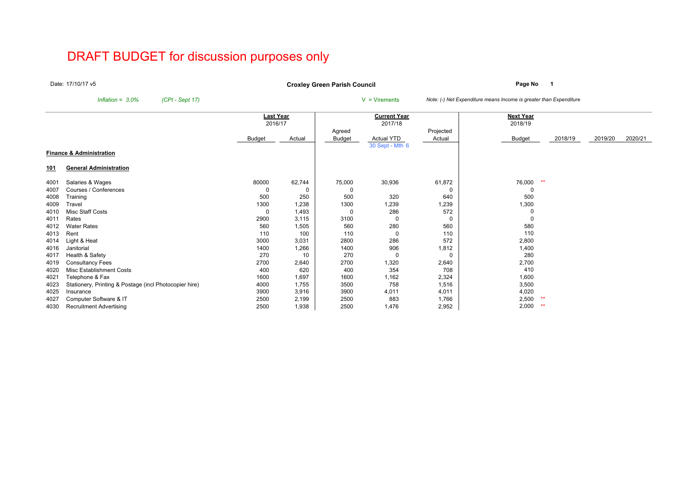# DRAFT BUDGET for discussion purposes only

Date:17/10/17 v5

**Page No <sup>1</sup> Croxley Green Parish Council**

*Inflation* =  $3.0\%$  *(CPI - Sept 17)* V = Virements *Note: (-) Net Expenditure means Income is greater than Expenditure* 

|            |                                                        | <b>Last Year</b> |        |               | <b>Current Year</b> |           | <b>Next Year</b> |         |         |         |
|------------|--------------------------------------------------------|------------------|--------|---------------|---------------------|-----------|------------------|---------|---------|---------|
|            |                                                        | 2016/17          |        |               | 2017/18             |           | 2018/19          |         |         |         |
|            |                                                        |                  |        | Agreed        |                     | Projected |                  |         |         |         |
|            |                                                        | <b>Budget</b>    | Actual | <b>Budget</b> | Actual YTD          | Actual    | <b>Budget</b>    | 2018/19 | 2019/20 | 2020/21 |
|            |                                                        |                  |        |               | 30 Sept - Mth 6     |           |                  |         |         |         |
|            | <b>Finance &amp; Administration</b>                    |                  |        |               |                     |           |                  |         |         |         |
| <u>101</u> | <b>General Administration</b>                          |                  |        |               |                     |           |                  |         |         |         |
| 4001       | Salaries & Wages                                       | 80000            | 62,744 | 75,000        | 30,936              | 61,872    | 76,000<br>**     |         |         |         |
| 4007       | Courses / Conferences                                  |                  | 0      |               |                     | 0         |                  |         |         |         |
| 4008       | Training                                               | 500              | 250    | 500           | 320                 | 640       | 500              |         |         |         |
| 4009       | Travel                                                 | 1300             | 1,238  | 1300          | 1,239               | 1,239     | 1,300            |         |         |         |
| 4010       | Misc Staff Costs                                       |                  | 1,493  | -C            | 286                 | 572       |                  |         |         |         |
| 4011       | Rates                                                  | 2900             | 3,115  | 3100          | 0                   | 0         |                  |         |         |         |
| 4012       | <b>Water Rates</b>                                     | 560              | 1,505  | 560           | 280                 | 560       | 580              |         |         |         |
| 4013       | Rent                                                   | 110              | 100    | 110           | 0                   | 110       | 110              |         |         |         |
| 4014       | Light & Heat                                           | 3000             | 3,031  | 2800          | 286                 | 572       | 2,800            |         |         |         |
| 4016       | Janitorial                                             | 1400             | 1,266  | 1400          | 906                 | 1,812     | 1,400            |         |         |         |
| 4017       | Health & Safety                                        | 270              | 10     | 270           | 0                   | 0         | 280              |         |         |         |
| 4019       | <b>Consultancy Fees</b>                                | 2700             | 2,640  | 2700          | 1,320               | 2,640     | 2,700            |         |         |         |
| 4020       | Misc Establishment Costs                               | 400              | 620    | 400           | 354                 | 708       | 410              |         |         |         |
| 4021       | Telephone & Fax                                        | 1600             | 1,697  | 1600          | 1,162               | 2,324     | 1,600            |         |         |         |
| 4023       | Stationery, Printing & Postage (incl Photocopier hire) | 4000             | 1,755  | 3500          | 758                 | 1,516     | 3,500            |         |         |         |
| 4025       | Insurance                                              | 3900             | 3,916  | 3900          | 4,011               | 4,011     | 4,020            |         |         |         |
| 4027       | Computer Software & IT                                 | 2500             | 2,199  | 2500          | 883                 | 1,766     | 2,500<br>**      |         |         |         |
| 4030       | <b>Recruitment Advertising</b>                         | 2500             | 1,938  | 2500          | 1,476               | 2,952     | 2,000<br>$**$    |         |         |         |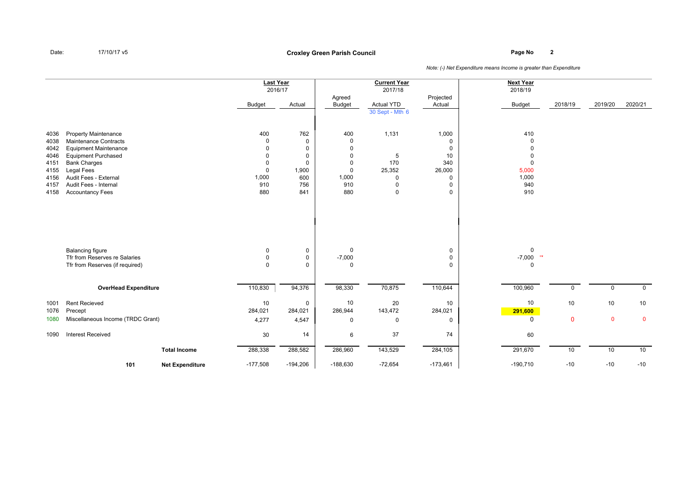## **Page No <sup>2</sup> Croxley Green Parish Council**

|      |                                                                                             |                        | <b>Last Year</b><br>2016/17 |                                           |                              | <b>Current Year</b><br>2017/18       |                       | <b>Next Year</b><br>2018/19 |             |              |             |
|------|---------------------------------------------------------------------------------------------|------------------------|-----------------------------|-------------------------------------------|------------------------------|--------------------------------------|-----------------------|-----------------------------|-------------|--------------|-------------|
|      |                                                                                             |                        |                             |                                           | Agreed                       |                                      | Projected             |                             |             |              |             |
|      |                                                                                             |                        | <b>Budget</b>               | Actual                                    | <b>Budget</b>                | <b>Actual YTD</b><br>30 Sept - Mth 6 | Actual                | <b>Budget</b>               | 2018/19     | 2019/20      | 2020/21     |
|      |                                                                                             |                        |                             |                                           |                              |                                      |                       |                             |             |              |             |
| 4036 | <b>Property Maintenance</b>                                                                 |                        | 400                         | 762                                       | 400                          | 1,131                                | 1,000                 | 410                         |             |              |             |
| 4038 | <b>Maintenance Contracts</b>                                                                |                        | $\Omega$                    | $\mathbf 0$                               | $\mathbf 0$                  |                                      | $\mathbf 0$           | $\Omega$                    |             |              |             |
| 4042 | <b>Equipment Maintenance</b>                                                                |                        | U                           | $\mathbf 0$                               | 0                            |                                      | $\mathbf 0$           | $\Omega$                    |             |              |             |
| 4046 | <b>Equipment Purchased</b>                                                                  |                        | U                           | $\mathbf 0$                               | $\mathbf 0$                  | 5                                    | 10                    | 0                           |             |              |             |
| 4151 | <b>Bank Charges</b>                                                                         |                        | 0                           | $\mathbf 0$                               | $\mathbf 0$                  | 170                                  | 340                   | 0                           |             |              |             |
| 4155 | Legal Fees                                                                                  |                        | $\Omega$                    | 1,900                                     | $\mathsf 0$                  | 25,352                               | 26,000                | 5,000                       |             |              |             |
| 4156 | Audit Fees - External                                                                       |                        | 1,000                       | 600                                       | 1,000                        | $\mathbf 0$                          | 0                     | 1,000                       |             |              |             |
| 4157 | Audit Fees - Internal                                                                       |                        | 910                         | 756                                       | 910                          | $\Omega$                             | 0                     | 940                         |             |              |             |
| 4158 | <b>Accountancy Fees</b>                                                                     |                        | 880                         | 841                                       | 880                          | $\mathbf 0$                          | 0                     | 910                         |             |              |             |
|      | <b>Balancing figure</b><br>Tfr from Reserves re Salaries<br>Tfr from Reserves (if required) |                        | 0<br>$\mathbf{0}$<br>0      | $\mathbf 0$<br>$\mathbf 0$<br>$\mathbf 0$ | 0<br>$-7,000$<br>$\mathbf 0$ |                                      | 0<br>0<br>$\mathbf 0$ | 0<br>$-7,000$ **<br>0       |             |              |             |
|      | <b>OverHead Expenditure</b>                                                                 |                        | 110,830                     | 94,376                                    | 98,330                       | 70,875                               | 110,644               | 100,960                     | 0           | $\mathsf{O}$ | $\mathbf 0$ |
|      |                                                                                             |                        |                             |                                           |                              |                                      |                       |                             |             |              |             |
| 1001 | <b>Rent Recieved</b>                                                                        |                        | 10                          | $\mathbf 0$                               | 10                           | 20                                   | 10                    | 10                          | 10          | 10           | 10          |
| 1076 | Precept                                                                                     |                        | 284,021                     | 284,021                                   | 286,944                      | 143,472                              | 284,021               | 291,600                     |             |              |             |
| 1080 | Miscellaneous Income (TRDC Grant)                                                           |                        | 4,277                       | 4,547                                     | 0                            | $\mathbf 0$                          | 0                     | 0                           | $\mathbf 0$ | $\mathbf 0$  | $\mathbf 0$ |
| 1090 | <b>Interest Received</b>                                                                    |                        | 30                          | 14                                        | 6                            | 37                                   | 74                    | 60                          |             |              |             |
|      |                                                                                             | <b>Total Income</b>    | 288,338                     | 288,582                                   | 286,960                      | 143,529                              | 284,105               | 291,670                     | 10          | 10           | 10          |
|      | 101                                                                                         | <b>Net Expenditure</b> | $-177,508$                  | $-194,206$                                | $-188,630$                   | $-72,654$                            | $-173,461$            | $-190,710$                  | $-10$       | $-10$        | $-10$       |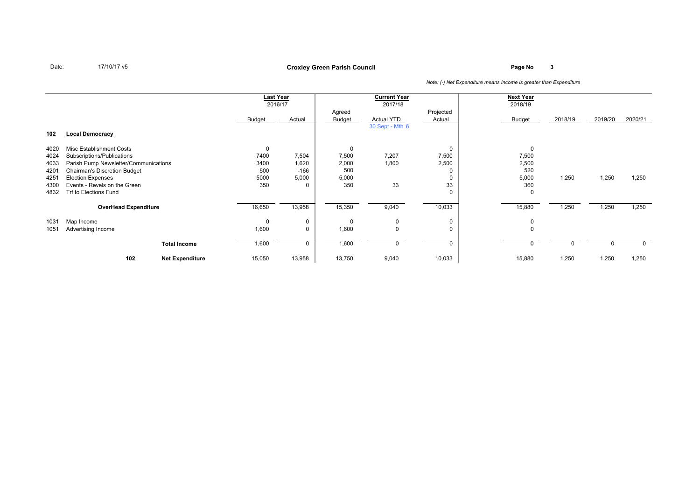## **Page No <sup>3</sup> Croxley Green Parish Council**

|                                                                                                                                                                                                                                                         |                                                                                                |                                                                    |                                                                                                                  | <b>Current Year</b>                                                          |                                                                                   | <b>Next Year</b>                                                    |                                                                   |                         |                         |
|---------------------------------------------------------------------------------------------------------------------------------------------------------------------------------------------------------------------------------------------------------|------------------------------------------------------------------------------------------------|--------------------------------------------------------------------|------------------------------------------------------------------------------------------------------------------|------------------------------------------------------------------------------|-----------------------------------------------------------------------------------|---------------------------------------------------------------------|-------------------------------------------------------------------|-------------------------|-------------------------|
|                                                                                                                                                                                                                                                         |                                                                                                |                                                                    |                                                                                                                  | 2017/18                                                                      |                                                                                   | 2018/19                                                             |                                                                   |                         |                         |
|                                                                                                                                                                                                                                                         |                                                                                                |                                                                    | Agreed                                                                                                           |                                                                              |                                                                                   |                                                                     |                                                                   |                         |                         |
|                                                                                                                                                                                                                                                         | Budget                                                                                         | Actual                                                             | Budget                                                                                                           | <b>Actual YTD</b>                                                            | Actual                                                                            | Budget                                                              | 2018/19                                                           | 2019/20                 | 2020/21                 |
|                                                                                                                                                                                                                                                         |                                                                                                |                                                                    |                                                                                                                  |                                                                              |                                                                                   |                                                                     |                                                                   |                         |                         |
|                                                                                                                                                                                                                                                         |                                                                                                |                                                                    |                                                                                                                  |                                                                              |                                                                                   |                                                                     |                                                                   |                         |                         |
|                                                                                                                                                                                                                                                         |                                                                                                |                                                                    |                                                                                                                  |                                                                              |                                                                                   |                                                                     |                                                                   |                         |                         |
|                                                                                                                                                                                                                                                         |                                                                                                |                                                                    |                                                                                                                  |                                                                              |                                                                                   |                                                                     |                                                                   |                         |                         |
|                                                                                                                                                                                                                                                         |                                                                                                |                                                                    |                                                                                                                  |                                                                              |                                                                                   |                                                                     |                                                                   |                         |                         |
|                                                                                                                                                                                                                                                         |                                                                                                |                                                                    |                                                                                                                  |                                                                              |                                                                                   |                                                                     |                                                                   |                         |                         |
|                                                                                                                                                                                                                                                         |                                                                                                |                                                                    |                                                                                                                  |                                                                              |                                                                                   |                                                                     |                                                                   |                         |                         |
|                                                                                                                                                                                                                                                         |                                                                                                |                                                                    |                                                                                                                  |                                                                              | 0                                                                                 |                                                                     |                                                                   |                         | 1,250                   |
|                                                                                                                                                                                                                                                         | 350                                                                                            |                                                                    | 350                                                                                                              | 33                                                                           | 33                                                                                | 360                                                                 |                                                                   |                         |                         |
|                                                                                                                                                                                                                                                         |                                                                                                |                                                                    |                                                                                                                  |                                                                              | 0                                                                                 | 0                                                                   |                                                                   |                         |                         |
|                                                                                                                                                                                                                                                         |                                                                                                |                                                                    |                                                                                                                  |                                                                              |                                                                                   |                                                                     |                                                                   |                         |                         |
|                                                                                                                                                                                                                                                         |                                                                                                |                                                                    |                                                                                                                  |                                                                              |                                                                                   |                                                                     |                                                                   |                         | 1,250                   |
|                                                                                                                                                                                                                                                         |                                                                                                |                                                                    |                                                                                                                  |                                                                              |                                                                                   |                                                                     |                                                                   |                         |                         |
|                                                                                                                                                                                                                                                         |                                                                                                |                                                                    |                                                                                                                  |                                                                              |                                                                                   |                                                                     |                                                                   |                         |                         |
|                                                                                                                                                                                                                                                         |                                                                                                |                                                                    |                                                                                                                  |                                                                              |                                                                                   |                                                                     |                                                                   |                         |                         |
| <b>Total Income</b>                                                                                                                                                                                                                                     | 1,600                                                                                          | $\mathbf 0$                                                        | 1,600                                                                                                            | $\Omega$                                                                     | 0                                                                                 |                                                                     |                                                                   |                         | $\Omega$                |
|                                                                                                                                                                                                                                                         |                                                                                                |                                                                    |                                                                                                                  |                                                                              |                                                                                   |                                                                     |                                                                   |                         | 1,250                   |
| <b>Local Democracy</b><br>Misc Establishment Costs<br>Subscriptions/Publications<br><b>Chairman's Discretion Budget</b><br><b>Election Expenses</b><br>Events - Revels on the Green<br>Trf to Elections Fund<br>Map Income<br>Advertising Income<br>102 | Parish Pump Newsletter/Communications<br><b>OverHead Expenditure</b><br><b>Net Expenditure</b> | 0<br>7400<br>3400<br>500<br>5000<br>16,650<br>0<br>1,600<br>15,050 | <b>Last Year</b><br>2016/17<br>7,504<br>1,620<br>-166<br>5,000<br>13,958<br>$\mathbf 0$<br>$\mathbf 0$<br>13,958 | 0<br>7,500<br>2,000<br>500<br>5,000<br>15,350<br>$\Omega$<br>1,600<br>13,750 | 30 Sept - Mth 6<br>7,207<br>1,800<br>9,040<br>$\mathbf 0$<br>$\mathbf 0$<br>9,040 | Projected<br>0<br>7,500<br>2,500<br>0<br>10,033<br>0<br>0<br>10,033 | 0<br>7,500<br>2,500<br>520<br>5,000<br>15,880<br>0<br>0<br>15,880 | 1,250<br>1,250<br>1,250 | 1,250<br>1,250<br>1,250 |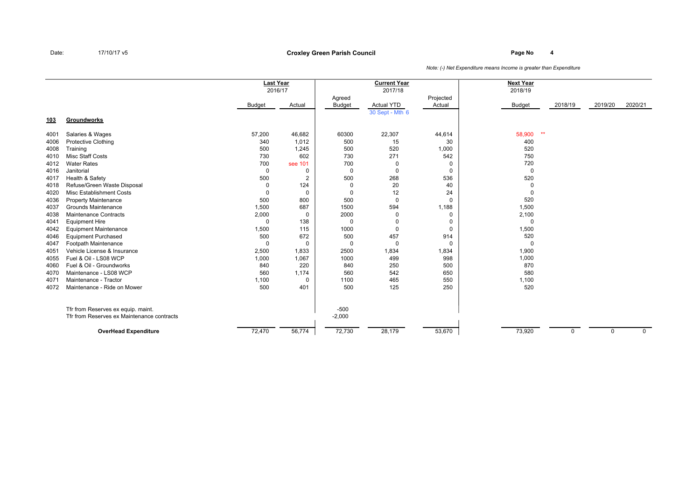## **Page No <sup>4</sup> Croxley Green Parish Council**

|      |                                            | <b>Last Year</b><br>2016/17 |                |                         | <b>Current Year</b><br>2017/18       |                     | <b>Next Year</b><br>2018/19 |          |             |             |
|------|--------------------------------------------|-----------------------------|----------------|-------------------------|--------------------------------------|---------------------|-----------------------------|----------|-------------|-------------|
|      |                                            | Budget                      | Actual         | Agreed<br><b>Budget</b> | <b>Actual YTD</b><br>30 Sept - Mth 6 | Projected<br>Actual | <b>Budget</b>               | 2018/19  | 2019/20     | 2020/21     |
| 103  | Groundworks                                |                             |                |                         |                                      |                     |                             |          |             |             |
| 4001 | Salaries & Wages                           | 57,200                      | 46,682         | 60300                   | 22,307                               | 44,614              | $**$<br>58,900              |          |             |             |
| 4006 | <b>Protective Clothing</b>                 | 340                         | 1,012          | 500                     | 15                                   | 30                  | 400                         |          |             |             |
| 4008 | Training                                   | 500                         | 1,245          | 500                     | 520                                  | 1,000               | 520                         |          |             |             |
| 4010 | Misc Staff Costs                           | 730                         | 602            | 730                     | 271                                  | 542                 | 750                         |          |             |             |
| 4012 | <b>Water Rates</b>                         | 700                         | see 101        | 700                     | 0                                    | 0                   | 720                         |          |             |             |
| 4016 | Janitorial                                 | 0                           | 0              | $\Omega$                | 0                                    | $\mathbf 0$         | $\mathbf 0$                 |          |             |             |
| 4017 | Health & Safety                            | 500                         | $\overline{2}$ | 500                     | 268                                  | 536                 | 520                         |          |             |             |
| 4018 | Refuse/Green Waste Disposal                | $\Omega$                    | 124            | 0                       | 20                                   | 40                  | $\mathbf 0$                 |          |             |             |
| 4020 | <b>Misc Establishment Costs</b>            |                             | 0              | 0                       | 12                                   | 24                  | $\Omega$                    |          |             |             |
| 4036 | <b>Property Maintenance</b>                | 500                         | 800            | 500                     | 0                                    | 0                   | 520                         |          |             |             |
| 4037 | Grounds Maintenance                        | 1,500                       | 687            | 1500                    | 594                                  | 1,188               | 1,500                       |          |             |             |
| 4038 | Maintenance Contracts                      | 2,000                       | 0              | 2000                    | $\Omega$                             | 0                   | 2,100                       |          |             |             |
| 4041 | <b>Equipment Hire</b>                      | $\Omega$                    | 138            | 0                       |                                      | 0                   | $\Omega$                    |          |             |             |
| 4042 | <b>Equipment Maintenance</b>               | 1,500                       | 115            | 1000                    | $\Omega$                             | $\mathbf 0$         | 1,500                       |          |             |             |
| 4046 | <b>Equipment Purchased</b>                 | 500                         | 672            | 500                     | 457                                  | 914                 | 520                         |          |             |             |
| 4047 | Footpath Maintenance                       | 0                           | 0              | 0                       | 0                                    | 0                   | $\Omega$                    |          |             |             |
| 4051 | Vehicle License & Insurance                | 2,500                       | 1,833          | 2500                    | 1,834                                | 1,834               | 1,900                       |          |             |             |
| 4055 | Fuel & Oil - LS08 WCP                      | 1,000                       | 1,067          | 1000                    | 499                                  | 998                 | 1,000                       |          |             |             |
| 4060 | Fuel & Oil - Groundworks                   | 840                         | 220            | 840                     | 250                                  | 500                 | 870                         |          |             |             |
| 4070 | Maintenance - LS08 WCP                     | 560                         | 1,174          | 560                     | 542                                  | 650                 | 580                         |          |             |             |
| 4071 | Maintenance - Tractor                      | 1,100                       | $\Omega$       | 1100                    | 465                                  | 550                 | 1,100                       |          |             |             |
| 4072 | Maintenance - Ride on Mower                | 500                         | 401            | 500                     | 125                                  | 250                 | 520                         |          |             |             |
|      | Tfr from Reserves ex equip. maint.         |                             |                | $-500$                  |                                      |                     |                             |          |             |             |
|      | Tfr from Reserves ex Maintenance contracts |                             |                | $-2,000$                |                                      |                     |                             |          |             |             |
|      | <b>OverHead Expenditure</b>                | 72,470                      | 56,774         | 72,730                  | 28,179                               | 53,670              | 73,920                      | $\Omega$ | $\mathbf 0$ | $\mathbf 0$ |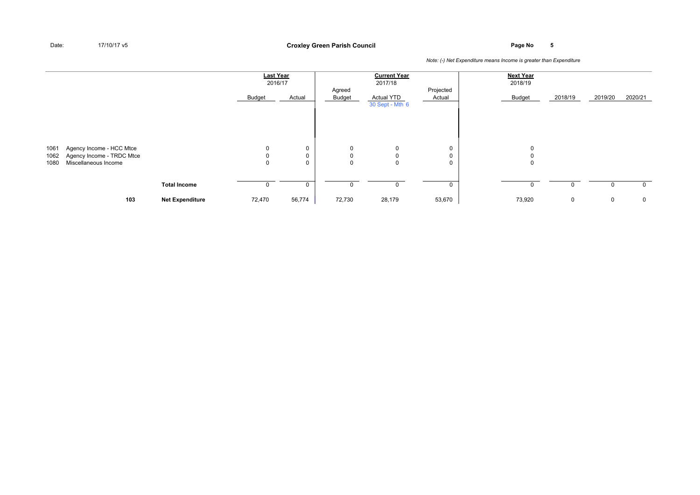**Page No <sup>5</sup> Croxley Green Parish Council**

|              |                                                       |                        | <b>Last Year</b><br>2016/17 |                  | Agreed | <b>Current Year</b><br>2017/18       | Projected | <b>Next Year</b><br>2018/19 |         |         |              |
|--------------|-------------------------------------------------------|------------------------|-----------------------------|------------------|--------|--------------------------------------|-----------|-----------------------------|---------|---------|--------------|
|              |                                                       |                        | Budget                      | Actual           | Budget | <b>Actual YTD</b><br>30 Sept - Mth 6 | Actual    | Budget                      | 2018/19 | 2019/20 | 2020/21      |
|              |                                                       |                        |                             |                  |        |                                      |           |                             |         |         |              |
| 1061<br>1062 | Agency Income - HCC Mtce<br>Agency Income - TRDC Mtce |                        | 0                           | 0<br>$\mathbf 0$ | 0<br>0 | 0<br>0                               | 0<br>0    |                             |         |         |              |
| 1080         | Miscellaneous Income                                  |                        | 0                           | $\mathbf 0$      | 0      | $\mathbf 0$                          | 0         | 0                           |         |         |              |
|              |                                                       | <b>Total Income</b>    |                             | 0                | 0      | 0                                    | 0         |                             |         |         | $\mathbf{0}$ |
|              | 103                                                   | <b>Net Expenditure</b> | 72,470                      | 56,774           | 72,730 | 28,179                               | 53,670    | 73,920                      | 0       | 0       | $\mathbf 0$  |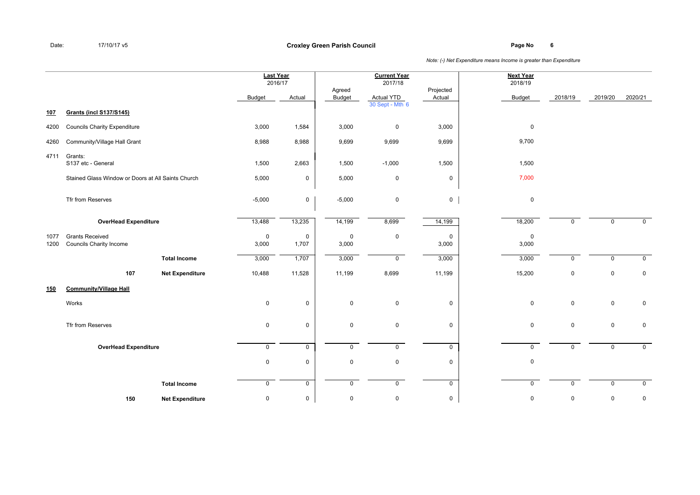**Page No <sup>6</sup> Croxley Green Parish Council**

|              |                                                          |                        | <b>Last Year</b><br>2016/17 |                      |                      | <b>Current Year</b><br>2017/18 |                      | <b>Next Year</b><br>2018/19 |              |             |                |
|--------------|----------------------------------------------------------|------------------------|-----------------------------|----------------------|----------------------|--------------------------------|----------------------|-----------------------------|--------------|-------------|----------------|
|              |                                                          |                        | <b>Budget</b>               | Actual               | Agreed<br>Budget     | <b>Actual YTD</b>              | Projected<br>Actual  | <b>Budget</b>               | 2018/19      | 2019/20     | 2020/21        |
| 107          | <b>Grants (incl S137/S145)</b>                           |                        |                             |                      |                      | 30 Sept - Mth 6                |                      |                             |              |             |                |
| 4200         | <b>Councils Charity Expenditure</b>                      |                        | 3,000                       | 1,584                | 3,000                | $\mathsf 0$                    | 3,000                | $\mathbf 0$                 |              |             |                |
| 4260         | Community/Village Hall Grant                             |                        | 8,988                       | 8,988                | 9,699                | 9,699                          | 9,699                | 9,700                       |              |             |                |
| 4711         | Grants:<br>S137 etc - General                            |                        | 1,500                       | 2,663                | 1,500                | $-1,000$                       | 1,500                | 1,500                       |              |             |                |
|              | Stained Glass Window or Doors at All Saints Church       |                        | 5,000                       | $\mathbf 0$          | 5,000                | $\mathbf 0$                    | $\mathbf 0$          | 7,000                       |              |             |                |
|              | Tfr from Reserves                                        |                        | $-5,000$                    | $\mathbf 0$          | $-5,000$             | $\mathsf 0$                    | $\mathbf 0$          | $\mathbf 0$                 |              |             |                |
|              | <b>OverHead Expenditure</b>                              |                        | 13,488                      | 13,235               | 14,199               | 8,699                          | 14,199               | 18,200                      | $\mathbf{0}$ | $\mathbf 0$ | $\mathbf 0$    |
| 1077<br>1200 | <b>Grants Received</b><br><b>Councils Charity Income</b> |                        | $\mathbf 0$<br>3,000        | $\mathbf 0$<br>1,707 | $\mathbf 0$<br>3,000 | 0                              | $\mathbf 0$<br>3,000 | $\mathbf 0$<br>3,000        |              |             |                |
|              |                                                          | <b>Total Income</b>    | 3,000                       | 1,707                | 3,000                | $\mathsf{O}$                   | 3,000                | 3,000                       | $\mathbf 0$  | $\mathbf 0$ | $\mathbf 0$    |
|              | 107                                                      | <b>Net Expenditure</b> | 10,488                      | 11,528               | 11,199               | 8,699                          | 11,199               | 15,200                      | $\mathbf 0$  | $\mathbf 0$ | $\mathbf 0$    |
| 150          | <b>Community/Village Hall</b>                            |                        |                             |                      |                      |                                |                      |                             |              |             |                |
|              | Works                                                    |                        | $\mathbf 0$                 | $\mathsf 0$          | $\mathbf 0$          | $\mathbf 0$                    | $\mathbf 0$          | $\mathbf 0$                 | $\mathbf 0$  | $\mathbf 0$ | $\mathbf 0$    |
|              | Tfr from Reserves                                        |                        | $\mathbf 0$                 | $\mathbf 0$          | $\mathbf 0$          | $\mathsf 0$                    | $\mathbf 0$          | $\mathbf 0$                 | $\mathbf 0$  | $\mathbf 0$ | $\mathbf 0$    |
|              | <b>OverHead Expenditure</b>                              |                        | 0                           | $\overline{0}$       | $\mathbf 0$          | $\overline{0}$                 | $\mathbf 0$          | $\mathbf 0$                 | $\mathbf{0}$ | $\mathbf 0$ | $\overline{0}$ |
|              |                                                          |                        | 0                           | $\mathsf 0$          | $\mathbf 0$          | 0                              | $\mathbf 0$          | $\pmb{0}$                   |              |             |                |
|              |                                                          | <b>Total Income</b>    | $\mathbf 0$                 | $\mathbf 0$          | $\mathbf 0$          | $\mathbf 0$                    | $\mathbf 0$          | $\mathbf 0$                 | $\mathbf 0$  | $\mathbf 0$ | $\mathbf 0$    |
|              | 150                                                      | <b>Net Expenditure</b> | 0                           | 0                    | $\mathbf 0$          | 0                              | 0                    | $\mathbf 0$                 | $\mathbf 0$  | $\mathbf 0$ | $\mathbf 0$    |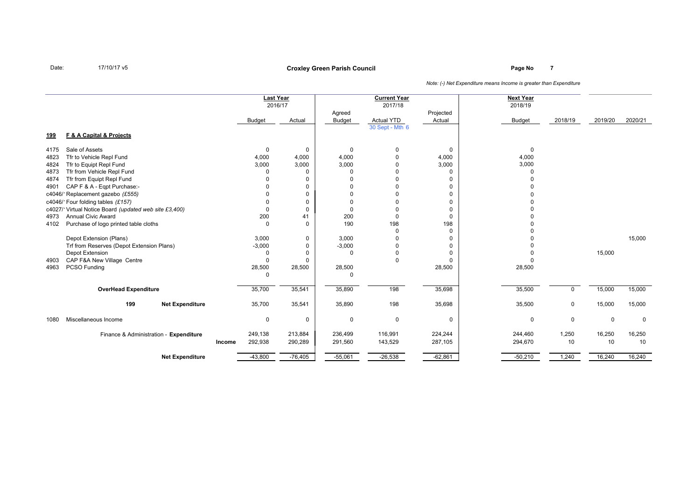## **Page No <sup>7</sup> Croxley Green Parish Council**

|                                                       |        |               | <b>Last Year</b><br>2016/17 |               | <b>Current Year</b><br>2017/18 |             | <b>Next Year</b><br>2018/19 |             |         |             |
|-------------------------------------------------------|--------|---------------|-----------------------------|---------------|--------------------------------|-------------|-----------------------------|-------------|---------|-------------|
|                                                       |        |               |                             | Agreed        |                                | Projected   |                             |             |         |             |
|                                                       |        | <b>Budget</b> | Actual                      | <b>Budget</b> | <b>Actual YTD</b>              | Actual      | <b>Budget</b>               | 2018/19     | 2019/20 | 2020/21     |
| F & A Capital & Projects<br><u>199</u>                |        |               |                             |               | 30 Sept - Mth 6                |             |                             |             |         |             |
| Sale of Assets<br>4175                                |        | $\mathbf 0$   | 0                           | $\mathbf 0$   | 0                              | 0           | $\mathbf 0$                 |             |         |             |
| Tfr to Vehicle Repl Fund<br>4823                      |        | 4,000         | 4,000                       | 4,000         | $\Omega$                       | 4,000       | 4,000                       |             |         |             |
| Tfr to Equipt Repl Fund<br>4824                       |        | 3,000         | 3,000                       | 3,000         |                                | 3,000       | 3,000                       |             |         |             |
| Tfr from Vehicle Repl Fund<br>4873                    |        | $\Omega$      | 0                           | $\Omega$      |                                | $\Omega$    | 0                           |             |         |             |
| Tfr from Equipt Repl Fund<br>4874                     |        | $\Omega$      | 0                           | $\Omega$      | $\Omega$                       | 0           |                             |             |         |             |
| CAP F & A - Eqpt Purchase:-<br>4901                   |        |               | 0                           | $\Omega$      | $\Omega$                       | 0           |                             |             |         |             |
| c4046/1Replacement gazebo (£555)                      |        |               | 0                           | $\Omega$      | $\Omega$                       | 0           |                             |             |         |             |
| c4046/1Four folding tables (£157)                     |        | $\Omega$      | 0                           | $\mathbf 0$   | $\Omega$                       | 0           |                             |             |         |             |
| c4027/1Virtual Notice Board (updated web site £3,400) |        | $\Omega$      | 0                           | $\Omega$      | $\Omega$                       | $\mathbf 0$ |                             |             |         |             |
| <b>Annual Civic Award</b><br>4973                     |        | 200           | 41                          | 200           | $\Omega$                       | $\Omega$    |                             |             |         |             |
| Purchase of logo printed table cloths<br>4102         |        | $\Omega$      | $\Omega$                    | 190           | 198                            | 198         |                             |             |         |             |
|                                                       |        |               |                             |               | $\Omega$                       | $\Omega$    |                             |             |         |             |
| Depot Extension (Plans)                               |        | 3,000         | 0                           | 3,000         | $\Omega$                       | $\mathbf 0$ |                             |             |         | 15,000      |
| Trf from Reserves (Depot Extension Plans)             |        | $-3,000$      | 0                           | $-3,000$      | $\Omega$                       | $\mathbf 0$ |                             |             |         |             |
| Depot Extension                                       |        | $\Omega$      | 0                           | $\Omega$      | $\Omega$                       | 0           |                             |             | 15,000  |             |
| CAP F&A New Village Centre<br>4903                    |        | $\Omega$      | $\Omega$                    |               | $\Omega$                       | $\Omega$    |                             |             |         |             |
| PCSO Funding<br>4963                                  |        | 28,500        | 28,500                      | 28,500        |                                | 28,500      | 28,500                      |             |         |             |
|                                                       |        | $\Omega$      |                             | $\Omega$      |                                |             |                             |             |         |             |
|                                                       |        | 35,700        | 35,541                      | 35,890        | 198                            | 35,698      | 35,500                      | $\Omega$    | 15,000  | 15,000      |
| <b>OverHead Expenditure</b>                           |        |               |                             |               |                                |             |                             |             |         |             |
| 199<br><b>Net Expenditure</b>                         |        | 35,700        | 35,541                      | 35,890        | 198                            | 35,698      | 35,500                      | $\mathbf 0$ | 15,000  | 15,000      |
| Miscellaneous Income<br>1080                          |        | 0             | 0                           | $\mathbf 0$   | $\mathbf 0$                    | $\mathbf 0$ | $\Omega$                    | 0           | 0       | $\mathbf 0$ |
| Finance & Administration - Expenditure                |        | 249,138       | 213,884                     | 236,499       | 116,991                        | 224,244     | 244,460                     | 1,250       | 16,250  | 16,250      |
|                                                       | Income | 292,938       | 290,289                     | 291,560       | 143,529                        | 287,105     | 294,670                     | 10          | 10      | 10          |
| <b>Net Expenditure</b>                                |        | $-43,800$     | $-76,405$                   | $-55,061$     | $-26,538$                      | $-62,861$   | $-50,210$                   | 1,240       | 16,240  | 16,240      |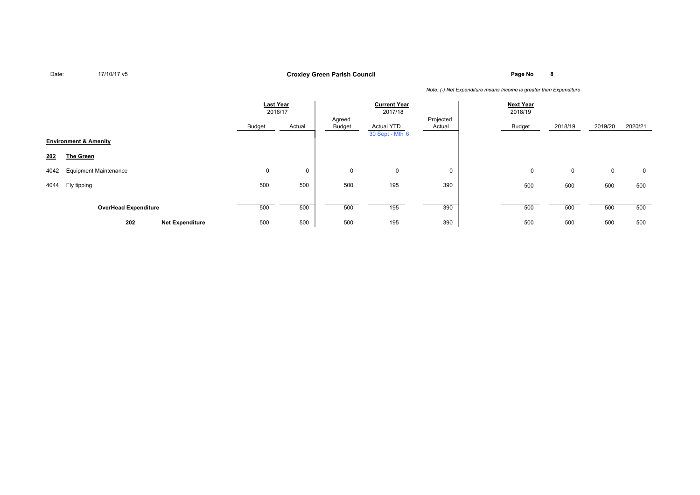**Page No <sup>8</sup> Croxley Green Parish Council**

|      |                                  |                        | <b>Last Year</b><br>2016/17 |        |                  | <b>Current Year</b><br>2017/18 |                     | <b>Next Year</b><br>2018/19 |         |             |         |
|------|----------------------------------|------------------------|-----------------------------|--------|------------------|--------------------------------|---------------------|-----------------------------|---------|-------------|---------|
|      |                                  |                        | Budget                      | Actual | Agreed<br>Budget | Actual YTD<br>30 Sept - Mth 6  | Projected<br>Actual | Budget                      | 2018/19 | 2019/20     | 2020/21 |
|      | <b>Environment &amp; Amenity</b> |                        |                             |        |                  |                                |                     |                             |         |             |         |
| 202  | The Green                        |                        |                             |        |                  |                                |                     |                             |         |             |         |
| 4042 | <b>Equipment Maintenance</b>     |                        | 0                           | 0      | 0                | 0                              | 0                   | 0                           | 0       | $\mathbf 0$ | 0       |
| 4044 | Fly tipping                      |                        | 500                         | 500    | 500              | 195                            | 390                 | 500                         | 500     | 500         | 500     |
|      | <b>OverHead Expenditure</b>      |                        | 500                         | 500    | 500              | 195                            | 390                 | 500                         | 500     | 500         | 500     |
|      | 202                              | <b>Net Expenditure</b> | 500                         | 500    | 500              | 195                            | 390                 | 500                         | 500     | 500         | 500     |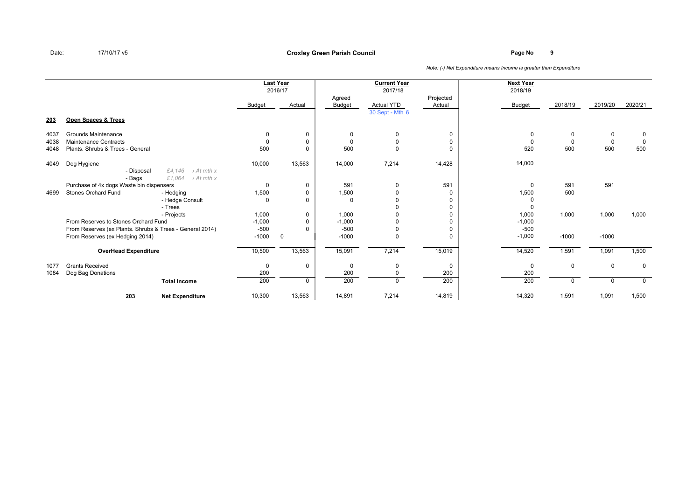## **Page No <sup>9</sup> Croxley Green Parish Council**

|      |                                                          |                                  |          | <b>Last Year</b><br>2016/17 |                         | <b>Current Year</b><br>2017/18       |                     | <b>Next Year</b><br>2018/19 |          |             |             |
|------|----------------------------------------------------------|----------------------------------|----------|-----------------------------|-------------------------|--------------------------------------|---------------------|-----------------------------|----------|-------------|-------------|
|      |                                                          |                                  | Budget   | Actual                      | Agreed<br><b>Budget</b> | <b>Actual YTD</b><br>30 Sept - Mth 6 | Projected<br>Actual | <b>Budget</b>               | 2018/19  | 2019/20     | 2020/21     |
| 203  | Open Spaces & Trees                                      |                                  |          |                             |                         |                                      |                     |                             |          |             |             |
| 4037 | Grounds Maintenance                                      |                                  | $\Omega$ | 0                           | $\Omega$                | 0                                    | 0                   |                             | $\Omega$ | 0           | $\mathbf 0$ |
| 4038 | <b>Maintenance Contracts</b>                             |                                  | $\Omega$ | 0                           | $\Omega$                | $\Omega$                             | $\mathbf 0$         |                             |          | $\mathbf 0$ | $\Omega$    |
| 4048 | Plants, Shrubs & Trees - General                         |                                  | 500      | $\Omega$                    | 500                     | $\Omega$                             | $\Omega$            | 520                         | 500      | 500         | 500         |
| 4049 | Dog Hygiene                                              |                                  | 10,000   | 13,563                      | 14,000                  | 7,214                                | 14,428              | 14,000                      |          |             |             |
|      | - Disposal                                               | £4,146<br>$\rightarrow$ At mth x |          |                             |                         |                                      |                     |                             |          |             |             |
|      | - Bags                                                   | £1,064<br>$\rightarrow$ At mth x |          |                             |                         |                                      |                     |                             |          |             |             |
|      | Purchase of 4x dogs Waste bin dispensers                 |                                  | 0        | 0                           | 591                     | 0                                    | 591                 | $\Omega$                    | 591      | 591         |             |
| 4699 | <b>Stones Orchard Fund</b>                               | - Hedging                        | 1,500    | 0                           | 1,500                   |                                      | $\Omega$            | 1,500                       | 500      |             |             |
|      |                                                          | - Hedge Consult                  | $\Omega$ | 0                           | $\Omega$                |                                      | $\Omega$            |                             |          |             |             |
|      |                                                          | - Trees                          |          |                             |                         |                                      | 0                   |                             |          |             |             |
|      |                                                          | - Projects                       | 1,000    | 0                           | 1,000                   |                                      | $\Omega$            | 1,000                       | 1,000    | 1,000       | 1,000       |
|      | From Reserves to Stones Orchard Fund                     |                                  | $-1,000$ | 0                           | $-1,000$                |                                      | $\Omega$            | $-1,000$                    |          |             |             |
|      | From Reserves (ex Plants. Shrubs & Trees - General 2014) |                                  | $-500$   | 0                           | $-500$                  |                                      | $\Omega$            | $-500$                      |          |             |             |
|      | From Reserves (ex Hedging 2014)                          |                                  | $-1000$  | $\mathbf 0$                 | $-1000$                 | 0                                    | $\Omega$            | $-1,000$                    | $-1000$  | $-1000$     |             |
|      | <b>OverHead Expenditure</b>                              |                                  | 10,500   | 13,563                      | 15,091                  | 7,214                                | 15,019              | 14,520                      | 1,591    | 1,091       | 1,500       |
| 1077 | <b>Grants Received</b>                                   |                                  | 0        | 0                           | $\Omega$                | $\Omega$                             | 0                   | $\Omega$                    | $\Omega$ | 0           | 0           |
| 1084 | Dog Bag Donations                                        |                                  | 200      |                             | 200                     |                                      | 200                 | 200                         |          |             |             |
|      |                                                          | <b>Total Income</b>              | 200      | $\mathbf 0$                 | 200                     | $\Omega$                             | 200                 | 200                         |          | $\Omega$    | $\mathbf 0$ |
|      | 203                                                      | <b>Net Expenditure</b>           | 10,300   | 13,563                      | 14,891                  | 7,214                                | 14,819              | 14,320                      | 1,591    | 1,091       | 1,500       |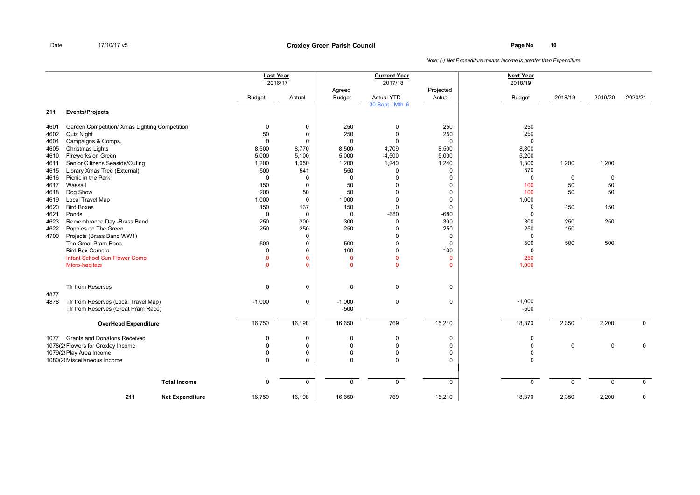|      |                                               | <b>Last Year</b> |              |                | <b>Current Year</b> |              | <b>Next Year</b> |             |         |                |
|------|-----------------------------------------------|------------------|--------------|----------------|---------------------|--------------|------------------|-------------|---------|----------------|
|      |                                               | 2016/17          |              |                | 2017/18             |              | 2018/19          |             |         |                |
|      |                                               |                  |              | Agreed         |                     | Projected    |                  |             |         |                |
|      |                                               | Budget           | Actual       | <b>Budget</b>  | <b>Actual YTD</b>   | Actual       | <b>Budget</b>    | 2018/19     | 2019/20 | 2020/21        |
|      |                                               |                  |              |                | 30 Sept - Mth 6     |              |                  |             |         |                |
| 211  | <b>Events/Projects</b>                        |                  |              |                |                     |              |                  |             |         |                |
| 4601 | Garden Competition/ Xmas Lighting Competition | $\mathbf 0$      | 0            | 250            | $\mathbf 0$         | 250          | 250              |             |         |                |
| 4602 | Quiz Night                                    | 50               | $\mathbf 0$  | 250            | $\Omega$            | 250          | 250              |             |         |                |
| 4604 | Campaigns & Comps.                            | $\mathbf 0$      | 0            | $\Omega$       | $\Omega$            | 0            | 0                |             |         |                |
| 4605 | Christmas Lights                              | 8,500            | 8,770        | 8,500          | 4,709               | 8,500        | 8,800            |             |         |                |
| 4610 | Fireworks on Green                            | 5,000            | 5,100        | 5,000          | $-4,500$            | 5,000        | 5,200            |             |         |                |
| 4611 | Senior Citizens Seaside/Outing                | 1,200            | 1,050        | 1,200          | 1,240               | 1,240        | 1,300            | 1,200       | 1,200   |                |
| 4615 | Library Xmas Tree (External)                  | 500              | 541          | 550            | $\Omega$            | 0            | 570              |             |         |                |
| 4616 | Picnic in the Park                            | $\mathbf 0$      | 0            | $\mathbf 0$    | $\Omega$            | 0            | 0                | $\mathbf 0$ | 0       |                |
| 4617 | Wassail                                       | 150              | 0            | 50             |                     | 0            | 100              | 50          | 50      |                |
| 4618 | Dog Show                                      | 200              | 50           | 50             |                     | 0            | 100              | 50          | 50      |                |
| 4619 | <b>Local Travel Map</b>                       | 1,000            | $\mathbf 0$  | 1,000          | $\Omega$            | 0            | 1,000            |             |         |                |
| 4620 | <b>Bird Boxes</b>                             | 150              | 137          | 150            | $\Omega$            | 0            | 0                | 150         | 150     |                |
| 4621 | Ponds                                         | $\mathbf 0$      | $\mathbf 0$  | $\mathbf 0$    | $-680$              | $-680$       | 0                |             |         |                |
| 4623 | Remembrance Day -Brass Band                   | 250              | 300          | 300            | $\Omega$            | 300          | 300              | 250         | 250     |                |
| 4622 | Poppies on The Green                          | 250              | 250          | 250            | $\Omega$            | 250          | 250              | 150         |         |                |
| 4700 | Projects (Brass Band WW1)                     |                  | 0            |                | $\Omega$            | 0            | 0                |             |         |                |
|      | The Great Pram Race                           | 500              | 0            | 500            | $\Omega$            | 0            | 500              | 500         | 500     |                |
|      | <b>Bird Box Camera</b>                        | 0                | 0            | 100            | $\Omega$            | 100          | 0                |             |         |                |
|      | Infant School Sun Flower Comp                 | $\Omega$         | $\mathbf{0}$ | $\overline{0}$ | $\Omega$            | $\mathbf{0}$ | 250              |             |         |                |
|      | <b>Micro-habitats</b>                         | $\mathbf{0}$     | $\mathbf{0}$ | $\overline{0}$ | $\mathbf{0}$        | $\mathbf{0}$ | 1,000            |             |         |                |
|      |                                               |                  |              |                |                     |              |                  |             |         |                |
| 4877 | Tfr from Reserves                             | $\mathbf 0$      | 0            | 0              | $\mathbf 0$         | 0            |                  |             |         |                |
| 4878 | Tfr from Reserves (Local Travel Map)          | $-1,000$         | 0            | $-1,000$       | $\mathbf 0$         | 0            | $-1,000$         |             |         |                |
|      | Tfr from Reserves (Great Pram Race)           |                  |              | $-500$         |                     |              | $-500$           |             |         |                |
|      | <b>OverHead Expenditure</b>                   | 16,750           | 16,198       | 16,650         | 769                 | 15,210       | 18,370           | 2,350       | 2,200   | $\overline{0}$ |
| 1077 | <b>Grants and Donatons Received</b>           | 0                | 0            | 0              | 0                   | 0            | 0                |             |         |                |
|      | 1078(2! Flowers for Croxley Income            | $\Omega$         | $\mathbf 0$  | $\mathbf 0$    | $\Omega$            | 0            | 0                | $\mathbf 0$ | 0       | $\mathbf 0$    |
|      | 1079(2! Play Area Income                      | $\mathbf 0$      | 0            | $\mathbf 0$    | $\Omega$            | 0            | 0                |             |         |                |
|      | 1080(2! Miscellaneous Income                  | 0                | 0            | $\mathbf 0$    | $\mathbf 0$         | 0            | 0                |             |         |                |
|      |                                               |                  |              |                |                     |              |                  |             |         |                |
|      | <b>Total Income</b>                           | $\mathbf 0$      | 0            | $\mathbf 0$    | $\mathbf 0$         | $\mathbf 0$  | $\mathbf 0$      | $\mathbf 0$ | 0       | $\mathbf 0$    |
|      |                                               |                  |              |                |                     |              |                  |             |         |                |
|      | 211<br><b>Net Expenditure</b>                 | 16,750           | 16,198       | 16,650         | 769                 | 15,210       | 18,370           | 2,350       | 2,200   | 0              |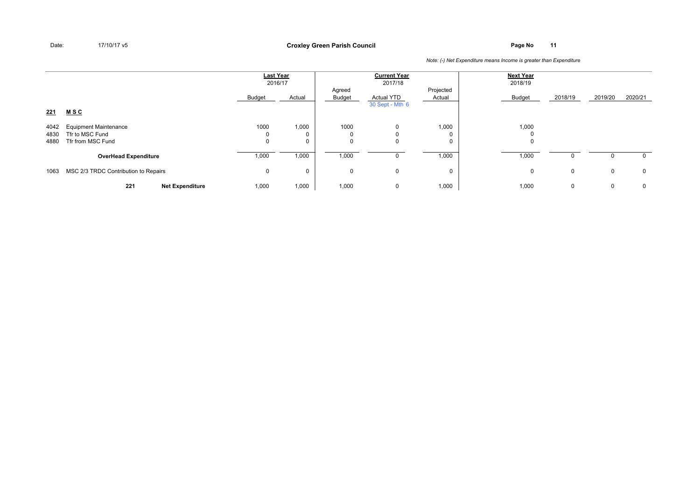**Page No <sup>11</sup> Croxley Green Parish Council**

|                      |                                                                      | <b>Last Year</b><br>2016/17 |                           |                  | <b>Current Year</b><br>2017/18       |                     | <b>Next Year</b><br>2018/19 |         |             |              |
|----------------------|----------------------------------------------------------------------|-----------------------------|---------------------------|------------------|--------------------------------------|---------------------|-----------------------------|---------|-------------|--------------|
|                      |                                                                      | Budget                      | Actual                    | Agreed<br>Budget | <b>Actual YTD</b><br>30 Sept - Mth 6 | Projected<br>Actual | Budget                      | 2018/19 | 2019/20     | 2020/21      |
| 221                  | <u>MSC</u>                                                           |                             |                           |                  |                                      |                     |                             |         |             |              |
| 4042<br>4830<br>4880 | <b>Equipment Maintenance</b><br>Tfr to MSC Fund<br>Tfr from MSC Fund | 1000<br>υ<br>0              | 1,000<br>0<br>$\mathbf 0$ | 1000             | $\Omega$                             | 1,000<br>0<br>0     | 1,000<br>υ                  |         |             |              |
|                      | <b>OverHead Expenditure</b>                                          | 1,000                       | 1,000                     | 1,000            |                                      | 1,000               | 1,000                       |         |             | 0            |
| 1063                 | MSC 2/3 TRDC Contribution to Repairs                                 | 0                           | $\mathbf 0$               | $\Omega$         | $\mathbf 0$                          | 0                   | 0                           | 0       | $\mathbf 0$ | $\mathbf{0}$ |
|                      | 221<br><b>Net Expenditure</b>                                        | 1,000                       | 1,000                     | 1,000            | 0                                    | 1,000               | 1,000                       | 0       | 0           | 0            |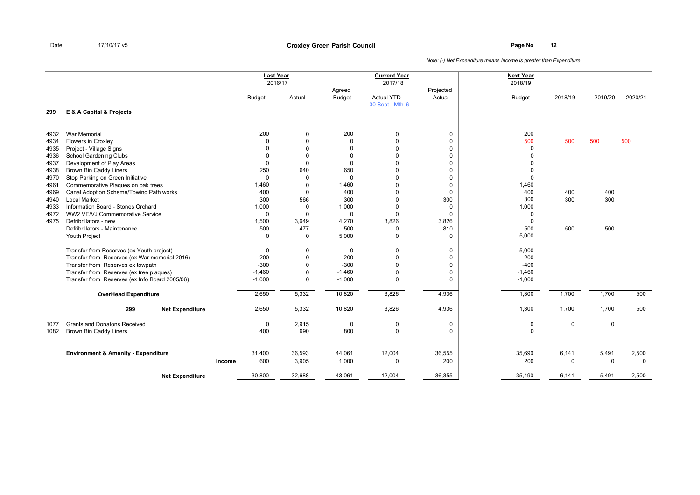**Page No <sup>12</sup> Croxley Green Parish Council**

|              |                                                          |        | <b>Last Year</b><br>2016/17 |                   |                         | <b>Current Year</b><br>2017/18 |                      | <b>Next Year</b><br>2018/19 |             |             |             |
|--------------|----------------------------------------------------------|--------|-----------------------------|-------------------|-------------------------|--------------------------------|----------------------|-----------------------------|-------------|-------------|-------------|
|              |                                                          |        | <b>Budget</b>               | Actual            | Agreed<br><b>Budget</b> | <b>Actual YTD</b>              | Projected<br>Actual  | <b>Budget</b>               | 2018/19     | 2019/20     | 2020/21     |
| 299          | <b>E &amp; A Capital &amp; Projects</b>                  |        |                             |                   |                         | 30 Sept - Mth 6                |                      |                             |             |             |             |
|              |                                                          |        |                             |                   |                         |                                |                      |                             |             |             |             |
| 4932         | <b>War Memorial</b>                                      |        | 200                         | 0                 | 200                     | 0                              | 0                    | 200                         |             |             |             |
| 4934         | <b>Flowers in Croxley</b>                                |        | 0                           | $\mathbf 0$       | $\mathbf 0$             | 0                              | $\mathbf 0$          | 500                         | 500         | 500         | 500         |
| 4935         | Project - Village Signs                                  |        | $\Omega$                    | $\pmb{0}$         | $\mathbf 0$             | $\Omega$                       | $\mathbf 0$          | $\mathbf 0$                 |             |             |             |
| 4936         | School Gardening Clubs                                   |        | $\Omega$                    | $\mathbf 0$       | $\mathbf 0$             | $\Omega$                       | $\mathbf 0$          | $\Omega$                    |             |             |             |
| 4937         | Development of Play Areas                                |        | 0                           | $\mathbf 0$       | $\Omega$                | $\Omega$                       | $\mathbf 0$          | $\Omega$                    |             |             |             |
| 4938         | <b>Brown Bin Caddy Liners</b>                            |        | 250                         | 640               | 650                     | $\Omega$                       | $\mathbf 0$          | $\mathbf 0$                 |             |             |             |
| 4970         | Stop Parking on Green Initiative                         |        | 0                           | 0                 | $\mathbf 0$             | $\Omega$                       | $\mathbf 0$          | $\Omega$                    |             |             |             |
| 4961         | Commemorative Plaques on oak trees                       |        | 1,460                       | 0                 | 1,460                   | $\Omega$                       | $\mathbf 0$          | 1,460                       |             |             |             |
| 4969         | Canal Adoption Scheme/Towing Path works                  |        | 400                         | $\mathbf 0$       | 400                     | $\Omega$                       | $\mathbf 0$          | 400                         | 400         | 400         |             |
| 4940         | <b>Local Market</b>                                      |        | 300                         | 566               | 300                     | $\Omega$                       | 300                  | 300                         | 300         | 300         |             |
| 4933         | Information Board - Stones Orchard                       |        | 1,000                       | $\mathbf 0$       | 1,000                   | $\mathbf 0$                    | 0                    | 1,000                       |             |             |             |
| 4972<br>4975 | WW2 VE/VJ Commemorative Service<br>Defribrillators - new |        | $\mathbf 0$                 | $\Omega$<br>3,649 | $\mathbf 0$<br>4,270    | $\Omega$<br>3,826              | $\mathbf 0$<br>3,826 | $\mathbf 0$<br>$\Omega$     |             |             |             |
|              | Defribrillators - Maintenance                            |        | 1,500<br>500                | 477               | 500                     | 0                              | 810                  | 500                         | 500         | 500         |             |
|              | Youth Project                                            |        | $\mathbf 0$                 | $\mathbf 0$       | 5,000                   | $\mathbf 0$                    | $\Omega$             | 5,000                       |             |             |             |
|              |                                                          |        |                             |                   |                         |                                |                      |                             |             |             |             |
|              | Transfer from Reserves (ex Youth project)                |        | 0                           | $\mathbf 0$       | $\mathbf 0$             | $\mathbf 0$                    | 0                    | $-5,000$                    |             |             |             |
|              | Transfer from Reserves (ex War memorial 2016)            |        | $-200$                      | $\mathbf 0$       | $-200$                  | $\mathbf 0$                    | 0                    | $-200$                      |             |             |             |
|              | Transfer from Reserves ex towpath                        |        | $-300$                      | $\mathbf 0$       | $-300$                  | $\Omega$                       | $\mathbf 0$          | $-400$                      |             |             |             |
|              | Transfer from Reserves (ex tree plaques)                 |        | $-1,460$                    | $\mathbf 0$       | $-1,460$                | $\mathbf 0$                    | $\mathbf 0$          | $-1,460$                    |             |             |             |
|              | Transfer from Reserves (ex Info Board 2005/06)           |        | $-1,000$                    | $\mathbf 0$       | $-1,000$                | $\mathbf 0$                    | $\Omega$             | $-1,000$                    |             |             |             |
|              | <b>OverHead Expenditure</b>                              |        | 2,650                       | 5,332             | 10,820                  | 3,826                          | 4,936                | 1,300                       | 1,700       | 1,700       | 500         |
|              | 299<br><b>Net Expenditure</b>                            |        | 2,650                       | 5,332             | 10,820                  | 3,826                          | 4,936                | 1,300                       | 1,700       | 1,700       | 500         |
| 1077         | <b>Grants and Donatons Received</b>                      |        | 0                           | 2,915             | $\mathbf 0$             | $\mathbf 0$                    | 0                    | 0                           | 0           | $\mathbf 0$ |             |
| 1082         | Brown Bin Caddy Liners                                   |        | 400                         | 990               | 800                     | $\mathbf 0$                    | $\Omega$             | $\mathbf 0$                 |             |             |             |
|              | <b>Environment &amp; Amenity - Expenditure</b>           |        | 31,400                      | 36,593            | 44,061                  | 12,004                         | 36,555               | 35,690                      | 6,141       | 5,491       | 2,500       |
|              |                                                          | Income | 600                         | 3,905             | 1,000                   | $\mathbf 0$                    | 200                  | 200                         | $\mathbf 0$ | $\mathbf 0$ | $\mathbf 0$ |
|              | <b>Net Expenditure</b>                                   |        | 30,800                      | 32,688            | 43,061                  | 12,004                         | 36,355               | 35,490                      | 6,141       | 5,491       | 2,500       |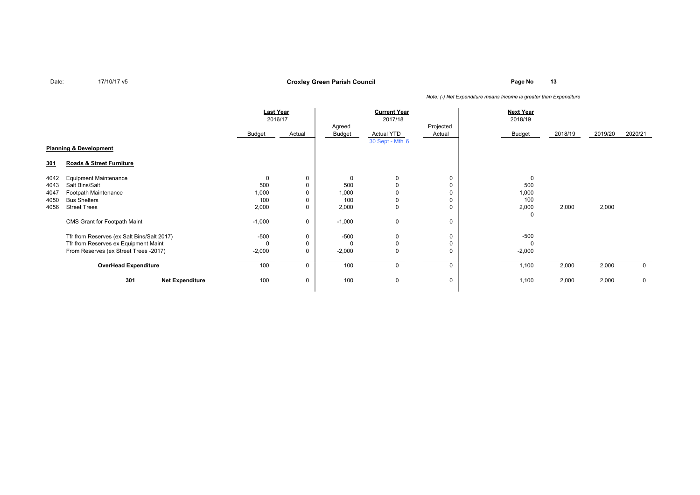## **Page No <sup>13</sup> Croxley Green Parish Council**

|                                   |                                            | <b>Last Year</b><br>2016/17 |          | <b>Current Year</b><br>2017/18 |                 |             | <b>Next Year</b><br>2018/19 |         |         |             |
|-----------------------------------|--------------------------------------------|-----------------------------|----------|--------------------------------|-----------------|-------------|-----------------------------|---------|---------|-------------|
|                                   |                                            |                             |          | Agreed                         |                 | Projected   |                             |         |         |             |
|                                   |                                            | Budget                      | Actual   | Budget                         | Actual YTD      | Actual      | <b>Budget</b>               | 2018/19 | 2019/20 | 2020/21     |
|                                   |                                            |                             |          |                                | 30 Sept - Mth 6 |             |                             |         |         |             |
| <b>Planning &amp; Development</b> |                                            |                             |          |                                |                 |             |                             |         |         |             |
| <u>301</u>                        | Roads & Street Furniture                   |                             |          |                                |                 |             |                             |         |         |             |
| 4042                              | <b>Equipment Maintenance</b>               | 0                           | 0        | $\Omega$                       | 0               | 0           | $\Omega$                    |         |         |             |
| 4043                              | Salt Bins/Salt                             | 500                         | 0        | 500                            | $\Omega$        | $\mathbf 0$ | 500                         |         |         |             |
| 4047                              | Footpath Maintenance                       | 1,000                       | $\Omega$ | 1,000                          |                 | 0           | 1,000                       |         |         |             |
| 4050                              | <b>Bus Shelters</b>                        | 100                         | 0        | 100                            | 0               | $\mathbf 0$ | 100                         |         |         |             |
| 4056                              | <b>Street Trees</b>                        | 2,000                       | 0        | 2,000                          | 0               | $\mathbf 0$ | 2,000                       | 2,000   | 2,000   |             |
|                                   |                                            |                             |          |                                |                 |             | 0                           |         |         |             |
|                                   | CMS Grant for Footpath Maint               | $-1,000$                    | 0        | $-1,000$                       | 0               | 0           |                             |         |         |             |
|                                   | Tfr from Reserves (ex Salt Bins/Salt 2017) | $-500$                      | 0        | $-500$                         | 0               | 0           | $-500$                      |         |         |             |
|                                   | Tfr from Reserves ex Equipment Maint       | $\Omega$                    | 0        |                                | 0               | 0           | $\Omega$                    |         |         |             |
|                                   | From Reserves (ex Street Trees -2017)      | $-2,000$                    | 0        | $-2,000$                       | 0               | 0           | $-2,000$                    |         |         |             |
| <b>OverHead Expenditure</b>       |                                            | 100                         | 0        | 100                            | 0               | $\Omega$    | 1,100                       | 2,000   | 2,000   | $\mathbf 0$ |
|                                   | 301<br><b>Net Expenditure</b>              | 100                         | 0        | 100                            | 0               | 0           | 1,100                       | 2,000   | 2,000   | $\mathbf 0$ |
|                                   |                                            |                             |          |                                |                 |             |                             |         |         |             |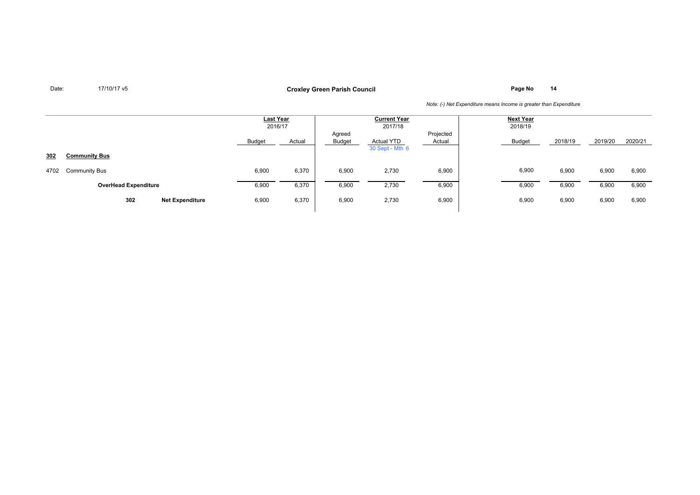**Page No <sup>14</sup> Croxley Green Parish Council**

|      |                               | <b>Last Year</b><br>2016/17 |        | <b>Current Year</b><br>2017/18 |                               |                     | <b>Next Year</b><br>2018/19 |         |         |         |
|------|-------------------------------|-----------------------------|--------|--------------------------------|-------------------------------|---------------------|-----------------------------|---------|---------|---------|
|      |                               | Budget                      | Actual | Agreed<br>Budget               | Actual YTD<br>30 Sept - Mth 6 | Projected<br>Actual | <b>Budget</b>               | 2018/19 | 2019/20 | 2020/21 |
| 302  | <b>Community Bus</b>          |                             |        |                                |                               |                     |                             |         |         |         |
| 4702 | <b>Community Bus</b>          | 6,900                       | 6,370  | 6,900                          | 2,730                         | 6,900               | 6,900                       | 6,900   | 6,900   | 6,900   |
|      | <b>OverHead Expenditure</b>   | 6,900                       | 6,370  | 6,900                          | 2,730                         | 6,900               | 6,900                       | 6,900   | 6,900   | 6,900   |
|      | 302<br><b>Net Expenditure</b> | 6,900                       | 6,370  | 6,900                          | 2,730                         | 6,900               | 6,900                       | 6,900   | 6,900   | 6,900   |